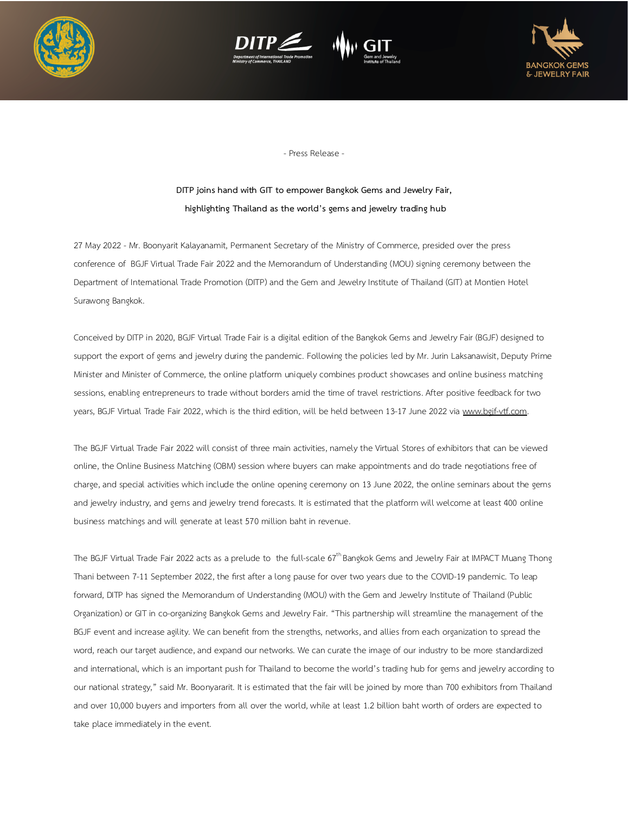







- Press Release -

## **DITP joins hand with GIT to empower Bangkok Gems and Jewelry Fair, highlighting Thailand as the world's gems and jewelry trading hub**

27 May 2022 - Mr. Boonyarit Kalayanamit, Permanent Secretary of the Ministry of Commerce, presided over the press conference of BGJF Virtual Trade Fair 2022 and the Memorandum of Understanding (MOU) signing ceremony between the Department of International Trade Promotion (DITP) and the Gem and Jewelry Institute of Thailand (GIT) at Montien Hotel Surawong Bangkok.

Conceived by DITP in 2020, BGJF Virtual Trade Fair is a digital edition of the Bangkok Gems and Jewelry Fair (BGJF) designed to support the export of gems and jewelry during the pandemic. Following the policies led by Mr. Jurin Laksanawisit, Deputy Prime Minister and Minister of Commerce, the online platform uniquely combines product showcases and online business matching sessions, enabling entrepreneurs to trade without borders amid the time of travel restrictions. After positive feedback for two years, BGJF Virtual Trade Fair 2022, which is the third edition, will be held between 13-17 June 2022 via www.bgif-vtf.com.

The BGJF Virtual Trade Fair 2022 will consist of three main activities, namely the Virtual Stores of exhibitors that can be viewed online, the Online Business Matching (OBM) session where buyers can make appointments and do trade negotiations free of charge, and special activities which include the online opening ceremony on 13 June 2022, the online seminars about the gems and jewelry industry, and gems and jewelry trend forecasts. It is estimated that the platform will welcome at least 400 online business matchings and will generate at least 570 million baht in revenue.

The BGJF Virtual Trade Fair 2022 acts as a prelude to the full-scale 67<sup>th</sup> Bangkok Gems and Jewelry Fair at IMPACT Muang Thong Thani between 7-11 September 2022, the first after a long pause for over two years due to the COVID-19 pandemic. To leap forward, DITP has signed the Memorandum of Understanding (MOU) with the Gem and Jewelry Institute of Thailand (Public Organization) or GIT in co-organizing Bangkok Gems and Jewelry Fair. "This partnership will streamline the management of the BGJF event and increase agility. We can benefit from the strengths, networks, and allies from each organization to spread the word, reach our target audience, and expand our networks. We can curate the image of our industry to be more standardized and international, which is an important push for Thailand to become the world's trading hub for gems and jewelry according to our national strategy," said Mr. Boonyararit. It is estimated that the fair will be joined by more than 700 exhibitors from Thailand and over 10,000 buyers and importers from all over the world, while at least 1.2 billion baht worth of orders are expected to take place immediately in the event.